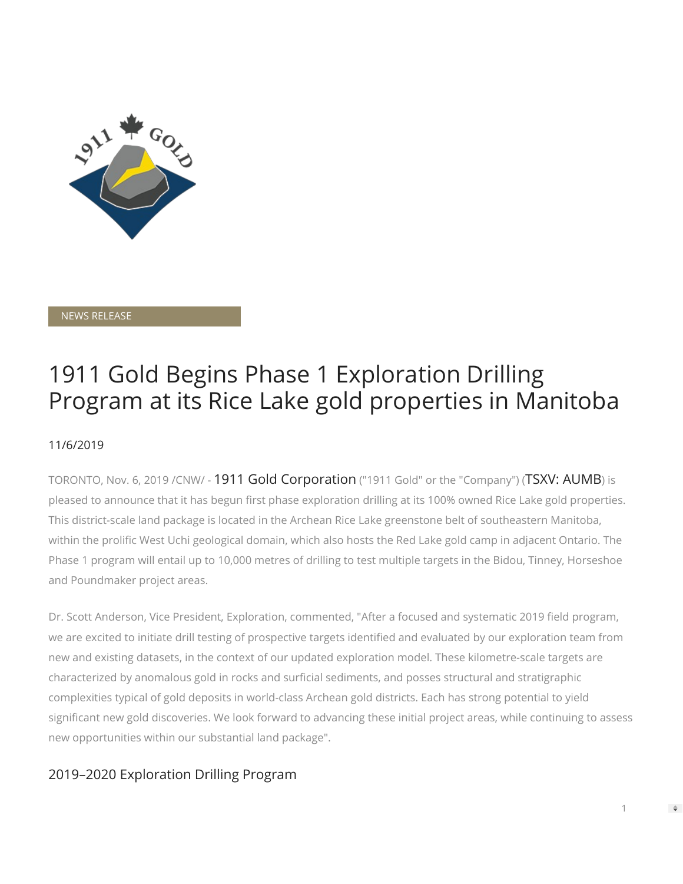

NEWS RELEASE

# 1911 Gold Begins Phase 1 Exploration Drilling Program at its Rice Lake gold properties in Manitoba

## 11/6/2019

TORONTO, Nov. 6, 2019 /CNW/ - 1911 Gold Corporation ("1911 Gold" or the "Company") (TSXV: AUMB) is pleased to announce that it has begun first phase exploration drilling at its 100% owned Rice Lake gold properties. This district-scale land package is located in the Archean Rice Lake greenstone belt of southeastern Manitoba, within the prolific West Uchi geological domain, which also hosts the Red Lake gold camp in adjacent Ontario. The Phase 1 program will entail up to 10,000 metres of drilling to test multiple targets in the Bidou, Tinney, Horseshoe and Poundmaker project areas.

Dr. Scott Anderson, Vice President, Exploration, commented, "After a focused and systematic 2019 field program, we are excited to initiate drill testing of prospective targets identified and evaluated by our exploration team from new and existing datasets, in the context of our updated exploration model. These kilometre-scale targets are characterized by anomalous gold in rocks and surficial sediments, and posses structural and stratigraphic complexities typical of gold deposits in world-class Archean gold districts. Each has strong potential to yield significant new gold discoveries. We look forward to advancing these initial project areas, while continuing to assess new opportunities within our substantial land package".

# 2019–2020 Exploration Drilling Program

1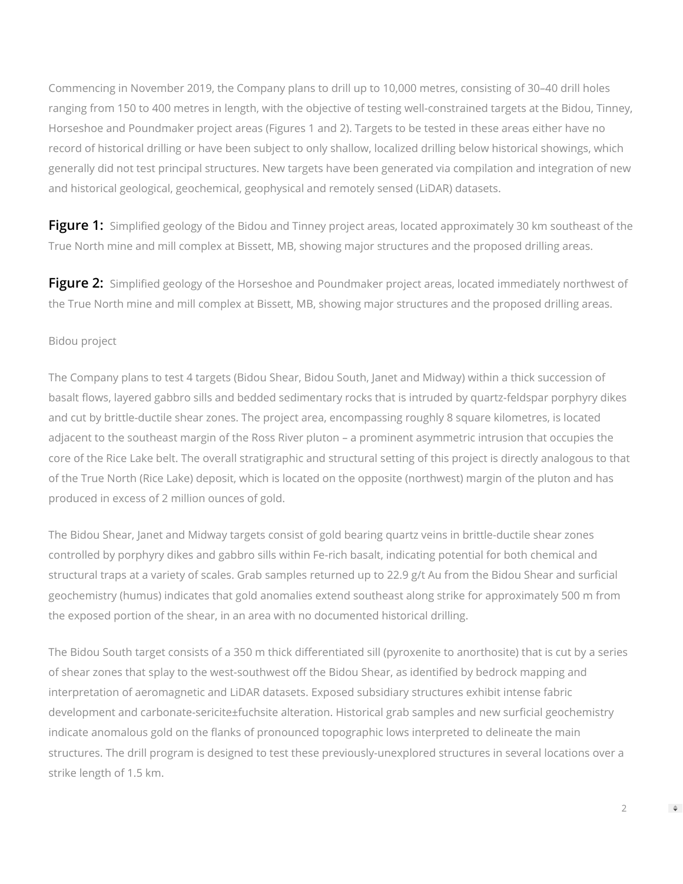Commencing in November 2019, the Company plans to drill up to 10,000 metres, consisting of 30–40 drill holes ranging from 150 to 400 metres in length, with the objective of testing well-constrained targets at the Bidou, Tinney, Horseshoe and Poundmaker project areas (Figures 1 and 2). Targets to be tested in these areas either have no record of historical drilling or have been subject to only shallow, localized drilling below historical showings, which generally did not test principal structures. New targets have been generated via compilation and integration of new and historical geological, geochemical, geophysical and remotely sensed (LiDAR) datasets.

**[Figure 1:](https://c212.net/c/link/?t=0&l=en&o=2633685-1&h=1504512305&u=https%3A%2F%2Fwww.1911gold.com%2Ffiles%2Fimages%2F2019%2FAUMB-PR-Nov-6-2019-Exploration-Update_Figure-1.pdf&a=Figure+1%3A)** Simplified geology of the Bidou and Tinney project areas, located approximately 30 km southeast of the True North mine and mill complex at Bissett, MB, showing major structures and the proposed drilling areas.

**[Figure 2:](https://c212.net/c/link/?t=0&l=en&o=2633685-1&h=2040806087&u=https%3A%2F%2Fwww.1911gold.com%2Ffiles%2Fimages%2F2019%2FAUMB-PR-Nov-6-2019-Exploration-Update_Figure-2.pdf&a=Figure+2%3A)** Simplified geology of the Horseshoe and Poundmaker project areas, located immediately northwest of the True North mine and mill complex at Bissett, MB, showing major structures and the proposed drilling areas.

#### Bidou project

The Company plans to test 4 targets (Bidou Shear, Bidou South, Janet and Midway) within a thick succession of basalt flows, layered gabbro sills and bedded sedimentary rocks that is intruded by quartz-feldspar porphyry dikes and cut by brittle-ductile shear zones. The project area, encompassing roughly 8 square kilometres, is located adjacent to the southeast margin of the Ross River pluton – a prominent asymmetric intrusion that occupies the core of the Rice Lake belt. The overall stratigraphic and structural setting of this project is directly analogous to that of the True North (Rice Lake) deposit, which is located on the opposite (northwest) margin of the pluton and has produced in excess of 2 million ounces of gold.

The Bidou Shear, Janet and Midway targets consist of gold bearing quartz veins in brittle-ductile shear zones controlled by porphyry dikes and gabbro sills within Fe-rich basalt, indicating potential for both chemical and structural traps at a variety of scales. Grab samples returned up to 22.9 g/t Au from the Bidou Shear and surficial geochemistry (humus) indicates that gold anomalies extend southeast along strike for approximately 500 m from the exposed portion of the shear, in an area with no documented historical drilling.

The Bidou South target consists of a 350 m thick differentiated sill (pyroxenite to anorthosite) that is cut by a series of shear zones that splay to the west-southwest off the Bidou Shear, as identified by bedrock mapping and interpretation of aeromagnetic and LiDAR datasets. Exposed subsidiary structures exhibit intense fabric development and carbonate-sericite±fuchsite alteration. Historical grab samples and new surficial geochemistry indicate anomalous gold on the flanks of pronounced topographic lows interpreted to delineate the main structures. The drill program is designed to test these previously-unexplored structures in several locations over a strike length of 1.5 km.

2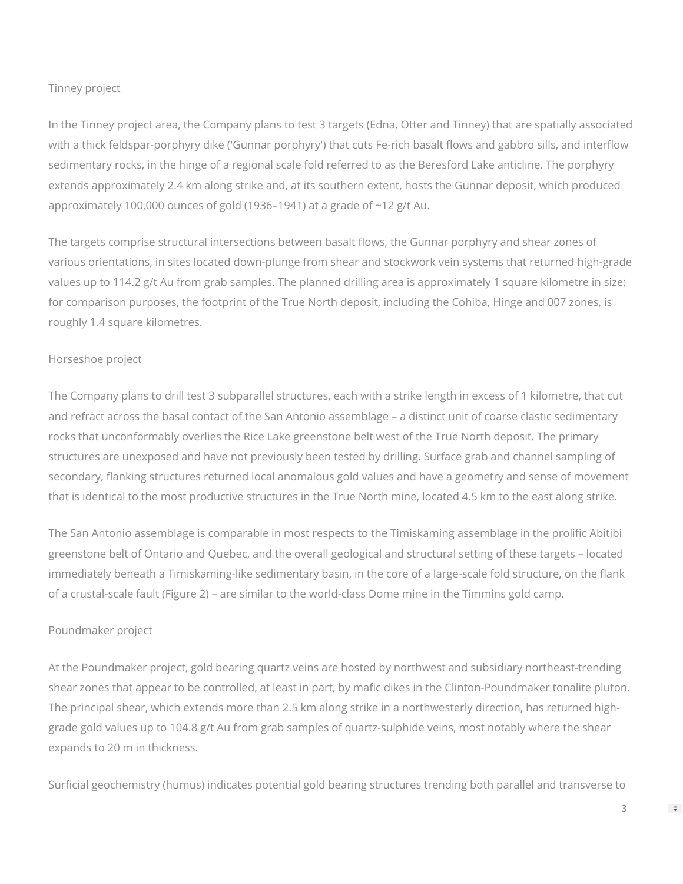#### Tinney project

In the Tinney project area, the Company plans to test 3 targets (Edna, Otter and Tinney) that are spatially associated with a thick feldspar-porphyry dike ('Gunnar porphyry') that cuts Fe-rich basalt flows and gabbro sills, and interflow sedimentary rocks, in the hinge of a regional scale fold referred to as the Beresford Lake anticline. The porphyry extends approximately 2.4 km along strike and, at its southern extent, hosts the Gunnar deposit, which produced approximately 100,000 ounces of gold (1936–1941) at a grade of ~12 g/t Au.

The targets comprise structural intersections between basalt flows, the Gunnar porphyry and shear zones of various orientations, in sites located down-plunge from shear and stockwork vein systems that returned high-grade values up to 114.2 g/t Au from grab samples. The planned drilling area is approximately 1 square kilometre in size; for comparison purposes, the footprint of the True North deposit, including the Cohiba, Hinge and 007 zones, is roughly 1.4 square kilometres.

#### Horseshoe project

The Company plans to drill test 3 subparallel structures, each with a strike length in excess of 1 kilometre, that cut and refract across the basal contact of the San Antonio assemblage – a distinct unit of coarse clastic sedimentary rocks that unconformably overlies the Rice Lake greenstone belt west of the True North deposit. The primary structures are unexposed and have not previously been tested by drilling. Surface grab and channel sampling of secondary, flanking structures returned local anomalous gold values and have a geometry and sense of movement that is identical to the most productive structures in the True North mine, located 4.5 km to the east along strike.

The San Antonio assemblage is comparable in most respects to the Timiskaming assemblage in the prolific Abitibi greenstone belt of Ontario and Quebec, and the overall geological and structural setting of these targets – located immediately beneath a Timiskaming-like sedimentary basin, in the core of a large-scale fold structure, on the flank of a crustal-scale fault (Figure 2) – are similar to the world-class Dome mine in the Timmins gold camp.

#### Poundmaker project

At the Poundmaker project, gold bearing quartz veins are hosted by northwest and subsidiary northeast-trending shear zones that appear to be controlled, at least in part, by mafic dikes in the Clinton-Poundmaker tonalite pluton. The principal shear, which extends more than 2.5 km along strike in a northwesterly direction, has returned highgrade gold values up to 104.8 g/t Au from grab samples of quartz-sulphide veins, most notably where the shear expands to 20 m in thickness.

Surficial geochemistry (humus) indicates potential gold bearing structures trending both parallel and transverse to

3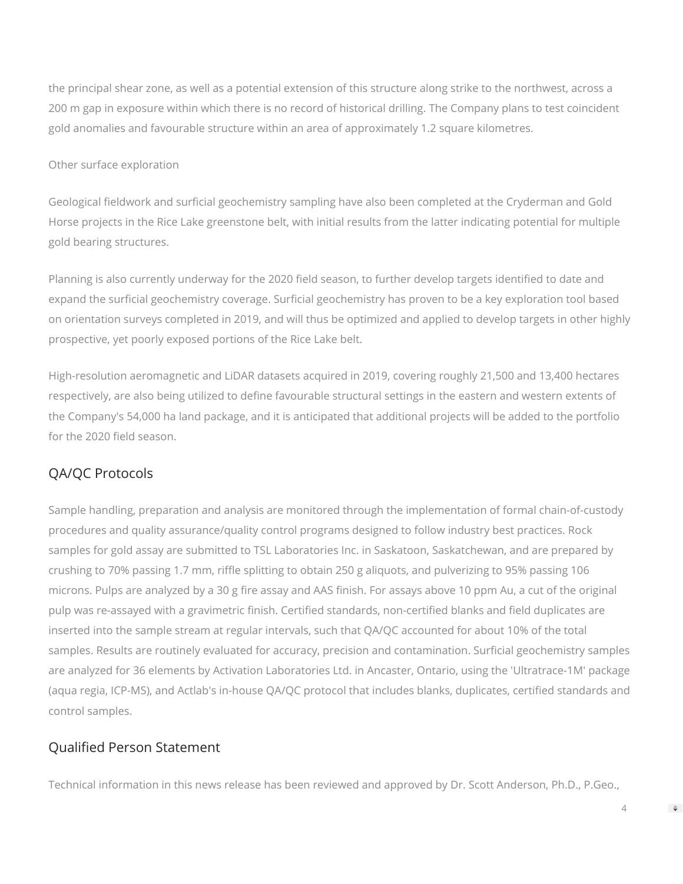the principal shear zone, as well as a potential extension of this structure along strike to the northwest, across a 200 m gap in exposure within which there is no record of historical drilling. The Company plans to test coincident gold anomalies and favourable structure within an area of approximately 1.2 square kilometres.

#### Other surface exploration

Geological fieldwork and surficial geochemistry sampling have also been completed at the Cryderman and Gold Horse projects in the Rice Lake greenstone belt, with initial results from the latter indicating potential for multiple gold bearing structures.

Planning is also currently underway for the 2020 field season, to further develop targets identified to date and expand the surficial geochemistry coverage. Surficial geochemistry has proven to be a key exploration tool based on orientation surveys completed in 2019, and will thus be optimized and applied to develop targets in other highly prospective, yet poorly exposed portions of the Rice Lake belt.

High-resolution aeromagnetic and LiDAR datasets acquired in 2019, covering roughly 21,500 and 13,400 hectares respectively, are also being utilized to define favourable structural settings in the eastern and western extents of the Company's 54,000 ha land package, and it is anticipated that additional projects will be added to the portfolio for the 2020 field season.

# QA/QC Protocols

Sample handling, preparation and analysis are monitored through the implementation of formal chain-of-custody procedures and quality assurance/quality control programs designed to follow industry best practices. Rock samples for gold assay are submitted to TSL Laboratories Inc. in Saskatoon, Saskatchewan, and are prepared by crushing to 70% passing 1.7 mm, riffle splitting to obtain 250 g aliquots, and pulverizing to 95% passing 106 microns. Pulps are analyzed by a 30 g fire assay and AAS finish. For assays above 10 ppm Au, a cut of the original pulp was re-assayed with a gravimetric finish. Certified standards, non-certified blanks and field duplicates are inserted into the sample stream at regular intervals, such that QA/QC accounted for about 10% of the total samples. Results are routinely evaluated for accuracy, precision and contamination. Surficial geochemistry samples are analyzed for 36 elements by Activation Laboratories Ltd. in Ancaster, Ontario, using the 'Ultratrace-1M' package (aqua regia, ICP-MS), and Actlab's in-house QA/QC protocol that includes blanks, duplicates, certified standards and control samples.

### Qualified Person Statement

Technical information in this news release has been reviewed and approved by Dr. Scott Anderson, Ph.D., P.Geo.,

4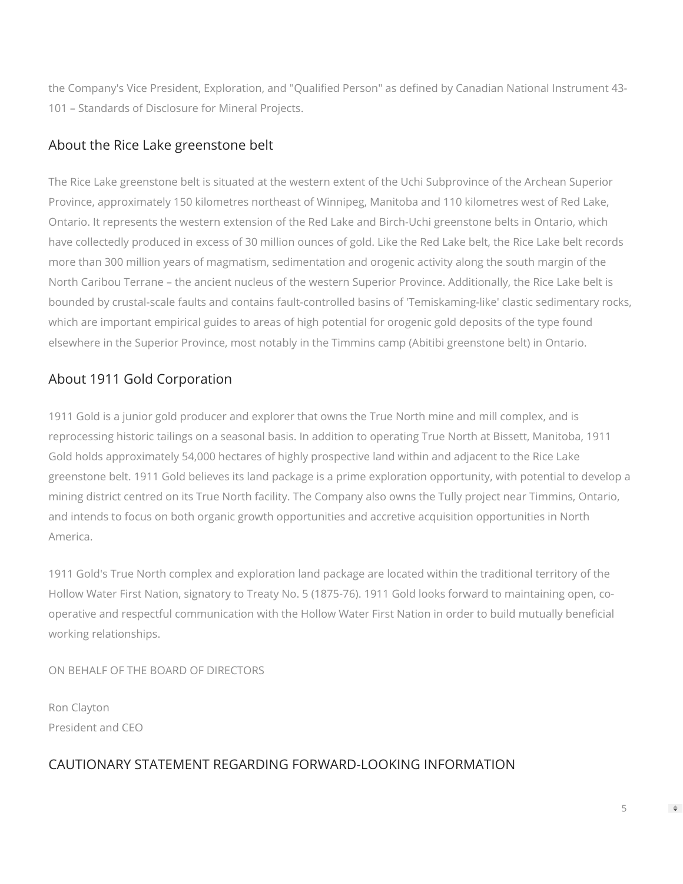the Company's Vice President, Exploration, and "Qualified Person" as defined by Canadian National Instrument 43-101 – Standards of Disclosure for Mineral Projects.

## About the Rice Lake greenstone belt

The Rice Lake greenstone belt is situated at the western extent of the Uchi Subprovince of the Archean Superior Province, approximately 150 kilometres northeast of Winnipeg, Manitoba and 110 kilometres west of Red Lake, Ontario. It represents the western extension of the Red Lake and Birch-Uchi greenstone belts in Ontario, which have collectedly produced in excess of 30 million ounces of gold. Like the Red Lake belt, the Rice Lake belt records more than 300 million years of magmatism, sedimentation and orogenic activity along the south margin of the North Caribou Terrane – the ancient nucleus of the western Superior Province. Additionally, the Rice Lake belt is bounded by crustal-scale faults and contains fault-controlled basins of 'Temiskaming-like' clastic sedimentary rocks, which are important empirical guides to areas of high potential for orogenic gold deposits of the type found elsewhere in the Superior Province, most notably in the Timmins camp (Abitibi greenstone belt) in Ontario.

# About 1911 Gold Corporation

1911 Gold is a junior gold producer and explorer that owns the True North mine and mill complex, and is reprocessing historic tailings on a seasonal basis. In addition to operating True North at Bissett, Manitoba, 1911 Gold holds approximately 54,000 hectares of highly prospective land within and adjacent to the Rice Lake greenstone belt. 1911 Gold believes its land package is a prime exploration opportunity, with potential to develop a mining district centred on its True North facility. The Company also owns the Tully project near Timmins, Ontario, and intends to focus on both organic growth opportunities and accretive acquisition opportunities in North America.

1911 Gold's True North complex and exploration land package are located within the traditional territory of the Hollow Water First Nation, signatory to Treaty No. 5 (1875-76). 1911 Gold looks forward to maintaining open, cooperative and respectful communication with the Hollow Water First Nation in order to build mutually beneficial working relationships.

ON BEHALF OF THE BOARD OF DIRECTORS

Ron Clayton President and CEO

## CAUTIONARY STATEMENT REGARDING FORWARD-LOOKING INFORMATION

5